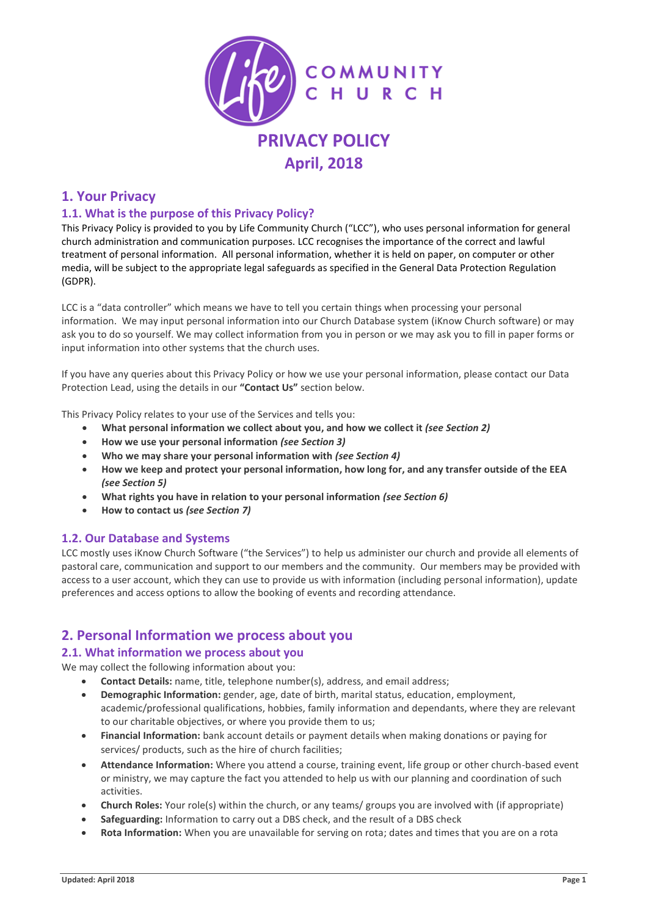

# **April, 2018**

# **1. Your Privacy**

## **1.1. What is the purpose of this Privacy Policy?**

This Privacy Policy is provided to you by Life Community Church ("LCC"), who uses personal information for general church administration and communication purposes. LCC recognises the importance of the correct and lawful treatment of personal information. All personal information, whether it is held on paper, on computer or other media, will be subject to the appropriate legal safeguards as specified in the General Data Protection Regulation (GDPR).

LCC is a "data controller" which means we have to tell you certain things when processing your personal information. We may input personal information into our Church Database system (iKnow Church software) or may ask you to do so yourself. We may collect information from you in person or we may ask you to fill in paper forms or input information into other systems that the church uses.

If you have any queries about this Privacy Policy or how we use your personal information, please contact our Data Protection Lead, using the details in our **"Contact Us"** section below.

This Privacy Policy relates to your use of the Services and tells you:

- **What personal information we collect about you, and how we collect it** *(see Section 2)*
- **How we use your personal information** *(see Section 3)*
- **Who we may share your personal information with** *(see Section 4)*
- **How we keep and protect your personal information, how long for, and any transfer outside of the EEA**  *(see Section 5)*
- **What rights you have in relation to your personal information** *(see Section 6)*
- **How to contact us** *(see Section 7)*

#### **1.2. Our Database and Systems**

LCC mostly uses iKnow Church Software ("the Services") to help us administer our church and provide all elements of pastoral care, communication and support to our members and the community. Our members may be provided with access to a user account, which they can use to provide us with information (including personal information), update preferences and access options to allow the booking of events and recording attendance.

# **2. Personal Information we process about you**

#### **2.1. What information we process about you**

We may collect the following information about you:

- **Contact Details:** name, title, telephone number(s), address, and email address;
	- **Demographic Information:** gender, age, date of birth, marital status, education, employment, academic/professional qualifications, hobbies, family information and dependants, where they are relevant to our charitable objectives, or where you provide them to us;
	- **Financial Information:** bank account details or payment details when making donations or paying for services/ products, such as the hire of church facilities;
- **Attendance Information:** Where you attend a course, training event, life group or other church-based event or ministry, we may capture the fact you attended to help us with our planning and coordination of such activities.
- **Church Roles:** Your role(s) within the church, or any teams/ groups you are involved with (if appropriate)
- **Safeguarding:** Information to carry out a DBS check, and the result of a DBS check
- **Rota Information:** When you are unavailable for serving on rota; dates and times that you are on a rota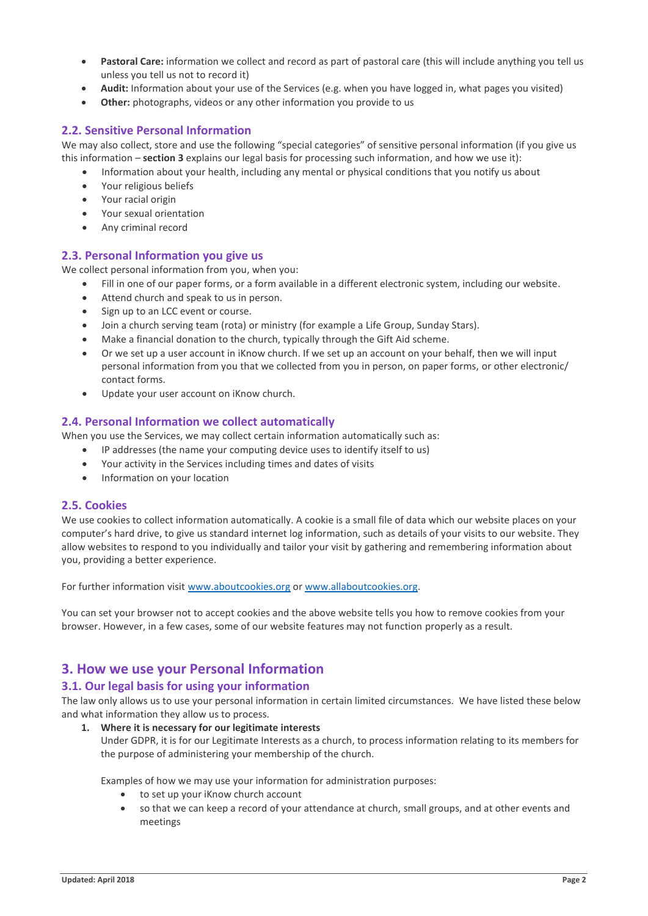- **Pastoral Care:** information we collect and record as part of pastoral care (this will include anything you tell us unless you tell us not to record it)
- **Audit:** Information about your use of the Services (e.g. when you have logged in, what pages you visited)
- **Other:** photographs, videos or any other information you provide to us

#### **2.2. Sensitive Personal Information**

We may also collect, store and use the following "special categories" of sensitive personal information (if you give us this information – **section 3** explains our legal basis for processing such information, and how we use it):

- Information about your health, including any mental or physical conditions that you notify us about
- Your religious beliefs
- Your racial origin
- Your sexual orientation
- Any criminal record

### **2.3. Personal Information you give us**

We collect personal information from you, when you:

- Fill in one of our paper forms, or a form available in a different electronic system, including our website.
- Attend church and speak to us in person.
- Sign up to an LCC event or course.
- Join a church serving team (rota) or ministry (for example a Life Group, Sunday Stars).
- Make a financial donation to the church, typically through the Gift Aid scheme.
- Or we set up a user account in iKnow church. If we set up an account on your behalf, then we will input personal information from you that we collected from you in person, on paper forms, or other electronic/ contact forms.
- Update your user account on iKnow church.

#### **2.4. Personal Information we collect automatically**

When you use the Services, we may collect certain information automatically such as:

- IP addresses (the name your computing device uses to identify itself to us)
- Your activity in the Services including times and dates of visits
- Information on your location

#### **2.5. Cookies**

We use cookies to collect information automatically. A cookie is a small file of data which our website places on your computer's hard drive, to give us standard internet log information, such as details of your visits to our website. They allow websites to respond to you individually and tailor your visit by gathering and remembering information about you, providing a better experience.

For further information visi[t www.aboutcookies.org](http://www.aboutcookies.org/) or [www.allaboutcookies.org.](http://www.allaboutcookies.org/)

You can set your browser not to accept cookies and the above website tells you how to remove cookies from your browser. However, in a few cases, some of our website features may not function properly as a result.

# **3. How we use your Personal Information**

#### **3.1. Our legal basis for using your information**

The law only allows us to use your personal information in certain limited circumstances. We have listed these below and what information they allow us to process.

**1. Where it is necessary for our legitimate interests** Under GDPR, it is for our Legitimate Interests as a church, to process information relating to its members for

Examples of how we may use your information for administration purposes:

to set up your iKnow church account

the purpose of administering your membership of the church.

• so that we can keep a record of your attendance at church, small groups, and at other events and meetings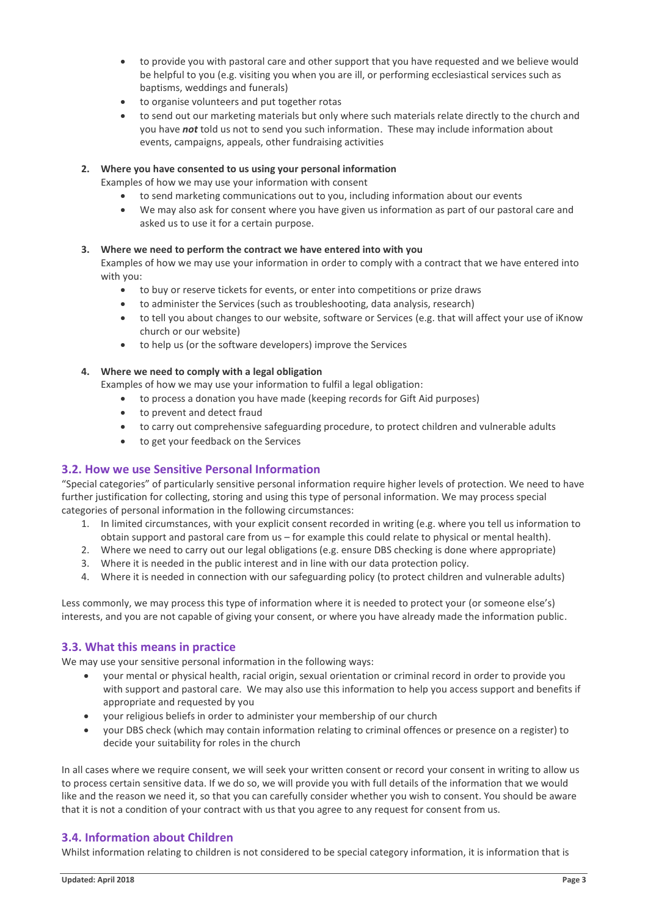- to provide you with pastoral care and other support that you have requested and we believe would be helpful to you (e.g. visiting you when you are ill, or performing ecclesiastical services such as baptisms, weddings and funerals)
- to organise volunteers and put together rotas
- to send out our marketing materials but only where such materials relate directly to the church and you have *not* told us not to send you such information. These may include information about events, campaigns, appeals, other fundraising activities

#### **2. Where you have consented to us using your personal information**

Examples of how we may use your information with consent

- to send marketing communications out to you, including information about our events
- We may also ask for consent where you have given us information as part of our pastoral care and asked us to use it for a certain purpose.

#### **3. Where we need to perform the contract we have entered into with you**

Examples of how we may use your information in order to comply with a contract that we have entered into with you:

- to buy or reserve tickets for events, or enter into competitions or prize draws
- to administer the Services (such as troubleshooting, data analysis, research)
- to tell you about changes to our website, software or Services (e.g. that will affect your use of iKnow church or our website)
- to help us (or the software developers) improve the Services

#### **4. Where we need to comply with a legal obligation**

Examples of how we may use your information to fulfil a legal obligation:

- to process a donation you have made (keeping records for Gift Aid purposes)
- to prevent and detect fraud
- to carry out comprehensive safeguarding procedure, to protect children and vulnerable adults
- to get your feedback on the Services

#### **3.2. How we use Sensitive Personal Information**

"Special categories" of particularly sensitive personal information require higher levels of protection. We need to have further justification for collecting, storing and using this type of personal information. We may process special categories of personal information in the following circumstances:

- 1. In limited circumstances, with your explicit consent recorded in writing (e.g. where you tell us information to obtain support and pastoral care from us – for example this could relate to physical or mental health).
- 2. Where we need to carry out our legal obligations (e.g. ensure DBS checking is done where appropriate)
- 3. Where it is needed in the public interest and in line with our data protection policy.
- 4. Where it is needed in connection with our safeguarding policy (to protect children and vulnerable adults)

Less commonly, we may process this type of information where it is needed to protect your (or someone else's) interests, and you are not capable of giving your consent, or where you have already made the information public.

#### **3.3. What this means in practice**

We may use your sensitive personal information in the following ways:

- your mental or physical health, racial origin, sexual orientation or criminal record in order to provide you with support and pastoral care. We may also use this information to help you access support and benefits if appropriate and requested by you
- your religious beliefs in order to administer your membership of our church
- your DBS check (which may contain information relating to criminal offences or presence on a register) to decide your suitability for roles in the church

In all cases where we require consent, we will seek your written consent or record your consent in writing to allow us to process certain sensitive data. If we do so, we will provide you with full details of the information that we would like and the reason we need it, so that you can carefully consider whether you wish to consent. You should be aware that it is not a condition of your contract with us that you agree to any request for consent from us.

#### **3.4. Information about Children**

Whilst information relating to children is not considered to be special category information, it is information that is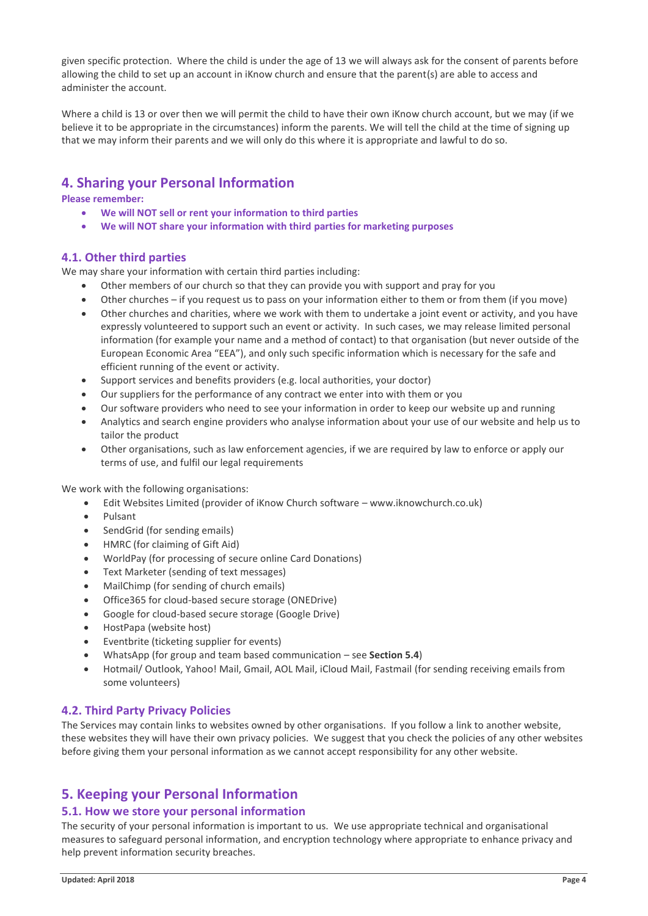given specific protection. Where the child is under the age of 13 we will always ask for the consent of parents before allowing the child to set up an account in iKnow church and ensure that the parent(s) are able to access and administer the account.

Where a child is 13 or over then we will permit the child to have their own iKnow church account, but we may (if we believe it to be appropriate in the circumstances) inform the parents. We will tell the child at the time of signing up that we may inform their parents and we will only do this where it is appropriate and lawful to do so.

# **4. Sharing your Personal Information**

**Please remember:**

- **We will NOT sell or rent your information to third parties**
- **We will NOT share your information with third parties for marketing purposes**

## **4.1. Other third parties**

We may share your information with certain third parties including:

- Other members of our church so that they can provide you with support and pray for you
- Other churches if you request us to pass on your information either to them or from them (if you move)
- Other churches and charities, where we work with them to undertake a joint event or activity, and you have expressly volunteered to support such an event or activity. In such cases, we may release limited personal information (for example your name and a method of contact) to that organisation (but never outside of the European Economic Area "EEA"), and only such specific information which is necessary for the safe and efficient running of the event or activity.
- Support services and benefits providers (e.g. local authorities, your doctor)
- Our suppliers for the performance of any contract we enter into with them or you
- Our software providers who need to see your information in order to keep our website up and running
- Analytics and search engine providers who analyse information about your use of our website and help us to tailor the product
- Other organisations, such as law enforcement agencies, if we are required by law to enforce or apply our terms of use, and fulfil our legal requirements

We work with the following organisations:

- Edit Websites Limited (provider of iKnow Church software www.iknowchurch.co.uk)
- Pulsant
- SendGrid (for sending emails)
- HMRC (for claiming of Gift Aid)
- WorldPay (for processing of secure online Card Donations)
- Text Marketer (sending of text messages)
- MailChimp (for sending of church emails)
- Office365 for cloud-based secure storage (ONEDrive)
- Google for cloud-based secure storage (Google Drive)
- HostPapa (website host)
- Eventbrite (ticketing supplier for events)
- WhatsApp (for group and team based communication see **Section 5.4**)
- Hotmail/ Outlook, Yahoo! Mail, Gmail, AOL Mail, iCloud Mail, Fastmail (for sending receiving emails from some volunteers)

#### **4.2. Third Party Privacy Policies**

The Services may contain links to websites owned by other organisations. If you follow a link to another website, these websites they will have their own privacy policies. We suggest that you check the policies of any other websites before giving them your personal information as we cannot accept responsibility for any other website.

# **5. Keeping your Personal Information**

## **5.1. How we store your personal information**

The security of your personal information is important to us. We use appropriate technical and organisational measures to safeguard personal information, and encryption technology where appropriate to enhance privacy and help prevent information security breaches.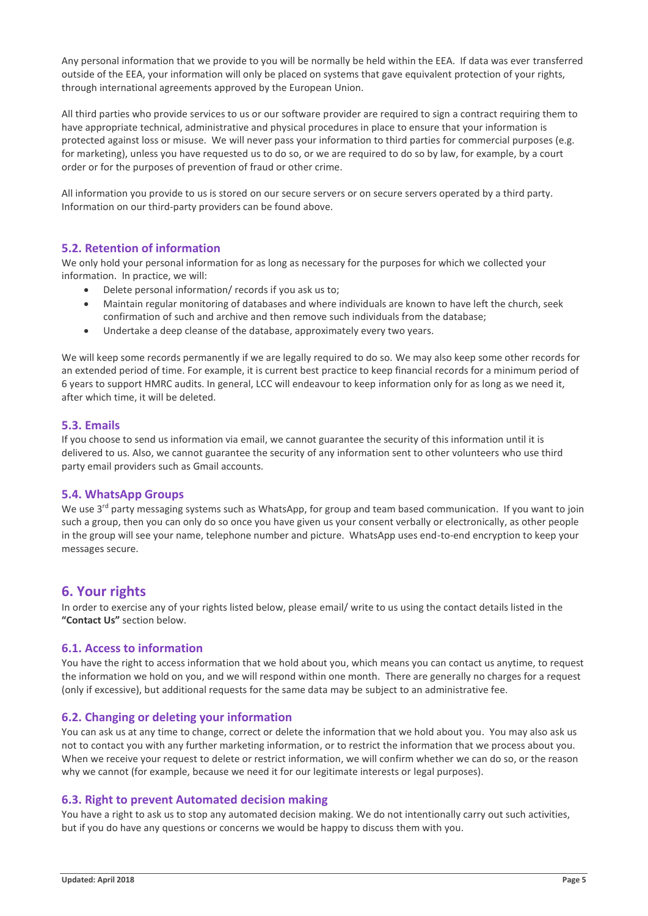Any personal information that we provide to you will be normally be held within the EEA. If data was ever transferred outside of the EEA, your information will only be placed on systems that gave equivalent protection of your rights, through international agreements approved by the European Union.

All third parties who provide services to us or our software provider are required to sign a contract requiring them to have appropriate technical, administrative and physical procedures in place to ensure that your information is protected against loss or misuse. We will never pass your information to third parties for commercial purposes (e.g. for marketing), unless you have requested us to do so, or we are required to do so by law, for example, by a court order or for the purposes of prevention of fraud or other crime.

All information you provide to us is stored on our secure servers or on secure servers operated by a third party. Information on our third-party providers can be found above.

#### **5.2. Retention of information**

We only hold your personal information for as long as necessary for the purposes for which we collected your information. In practice, we will:

- Delete personal information/ records if you ask us to;
- Maintain regular monitoring of databases and where individuals are known to have left the church, seek confirmation of such and archive and then remove such individuals from the database;
- Undertake a deep cleanse of the database, approximately every two years.

We will keep some records permanently if we are legally required to do so. We may also keep some other records for an extended period of time. For example, it is current best practice to keep financial records for a minimum period of 6 years to support HMRC audits. In general, LCC will endeavour to keep information only for as long as we need it, after which time, it will be deleted.

### **5.3. Emails**

If you choose to send us information via email, we cannot guarantee the security of this information until it is delivered to us. Also, we cannot guarantee the security of any information sent to other volunteers who use third party email providers such as Gmail accounts.

#### **5.4. WhatsApp Groups**

We use 3<sup>rd</sup> party messaging systems such as WhatsApp, for group and team based communication. If you want to join such a group, then you can only do so once you have given us your consent verbally or electronically, as other people in the group will see your name, telephone number and picture. WhatsApp uses end-to-end encryption to keep your messages secure.

# **6. Your rights**

In order to exercise any of your rights listed below, please email/ write to us using the contact details listed in the **"Contact Us"** section below.

#### **6.1. Access to information**

You have the right to access information that we hold about you, which means you can contact us anytime, to request the information we hold on you, and we will respond within one month. There are generally no charges for a request (only if excessive), but additional requests for the same data may be subject to an administrative fee.

#### **6.2. Changing or deleting your information**

You can ask us at any time to change, correct or delete the information that we hold about you. You may also ask us not to contact you with any further marketing information, or to restrict the information that we process about you. When we receive your request to delete or restrict information, we will confirm whether we can do so, or the reason why we cannot (for example, because we need it for our legitimate interests or legal purposes).

#### **6.3. Right to prevent Automated decision making**

You have a right to ask us to stop any automated decision making. We do not intentionally carry out such activities, but if you do have any questions or concerns we would be happy to discuss them with you.